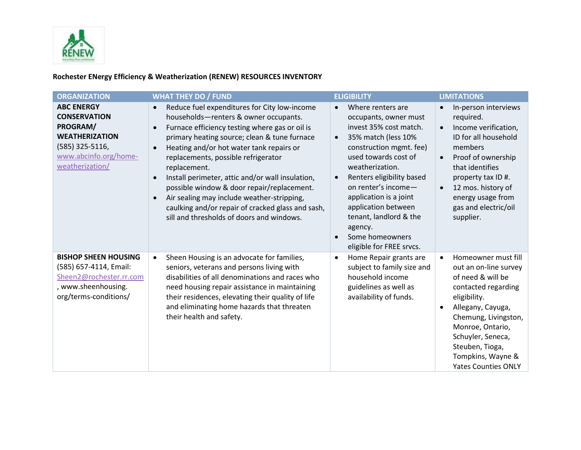

## **Rochester ENergy Efficiency & Weatherization (RENEW) RESOURCES INVENTORY**

| <b>ORGANIZATION</b>                                                                                                                          | <b>WHAT THEY DO / FUND</b>                                                                                                                                                                                                                                                                                                                                                                                                                                                                                                                                | <b>ELIGIBILITY</b>                                                                                                                                                                                                                                                                                                                                                                                | <b>LIMITATIONS</b>                                                                                                                                                                                                                                                                              |
|----------------------------------------------------------------------------------------------------------------------------------------------|-----------------------------------------------------------------------------------------------------------------------------------------------------------------------------------------------------------------------------------------------------------------------------------------------------------------------------------------------------------------------------------------------------------------------------------------------------------------------------------------------------------------------------------------------------------|---------------------------------------------------------------------------------------------------------------------------------------------------------------------------------------------------------------------------------------------------------------------------------------------------------------------------------------------------------------------------------------------------|-------------------------------------------------------------------------------------------------------------------------------------------------------------------------------------------------------------------------------------------------------------------------------------------------|
| <b>ABC ENERGY</b><br><b>CONSERVATION</b><br>PROGRAM/<br><b>WEATHERIZATION</b><br>(585) 325-5116,<br>www.abcinfo.org/home-<br>weatherization/ | Reduce fuel expenditures for City low-income<br>$\bullet$<br>households-renters & owner occupants.<br>Furnace efficiency testing where gas or oil is<br>primary heating source; clean & tune furnace<br>Heating and/or hot water tank repairs or<br>replacements, possible refrigerator<br>replacement.<br>Install perimeter, attic and/or wall insulation,<br>possible window & door repair/replacement.<br>Air sealing may include weather-stripping,<br>caulking and/or repair of cracked glass and sash,<br>sill and thresholds of doors and windows. | Where renters are<br>$\bullet$<br>occupants, owner must<br>invest 35% cost match.<br>35% match (less 10%<br>$\bullet$<br>construction mgmt. fee)<br>used towards cost of<br>weatherization.<br>Renters eligibility based<br>$\bullet$<br>on renter's income-<br>application is a joint<br>application between<br>tenant, landlord & the<br>agency.<br>Some homeowners<br>eligible for FREE srvcs. | In-person interviews<br>$\bullet$<br>required.<br>Income verification,<br>$\bullet$<br>ID for all household<br>members<br>Proof of ownership<br>$\bullet$<br>that identifies<br>property tax ID #.<br>12 mos. history of<br>$\bullet$<br>energy usage from<br>gas and electric/oil<br>supplier. |
| <b>BISHOP SHEEN HOUSING</b><br>(585) 657-4114, Email:<br>Sheen2@rochester.rr.com<br>, www.sheenhousing.<br>org/terms-conditions/             | Sheen Housing is an advocate for families,<br>$\bullet$<br>seniors, veterans and persons living with<br>disabilities of all denominations and races who<br>need housing repair assistance in maintaining<br>their residences, elevating their quality of life<br>and eliminating home hazards that threaten<br>their health and safety.                                                                                                                                                                                                                   | Home Repair grants are<br>$\bullet$<br>subject to family size and<br>household income<br>guidelines as well as<br>availability of funds.                                                                                                                                                                                                                                                          | Homeowner must fill<br>$\bullet$<br>out an on-line survey<br>of need & will be<br>contacted regarding<br>eligibility.<br>Allegany, Cayuga,<br>$\bullet$<br>Chemung, Livingston,<br>Monroe, Ontario,<br>Schuyler, Seneca,<br>Steuben, Tioga,<br>Tompkins, Wayne &<br><b>Yates Counties ONLY</b>  |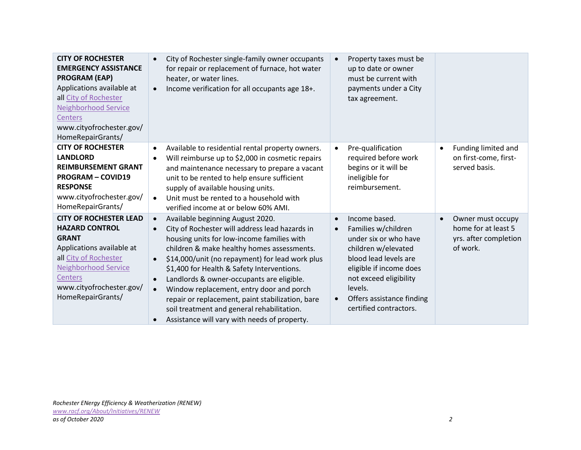| <b>CITY OF ROCHESTER</b><br><b>EMERGENCY ASSISTANCE</b><br><b>PROGRAM (EAP)</b><br>Applications available at<br>all City of Rochester<br><b>Neighborhood Service</b><br><b>Centers</b><br>www.cityofrochester.gov/<br>HomeRepairGrants/ | City of Rochester single-family owner occupants<br>$\bullet$<br>for repair or replacement of furnace, hot water<br>heater, or water lines.<br>Income verification for all occupants age 18+.<br>$\bullet$                                                                                                                                                                                                                                                                                                                                                                                                | Property taxes must be<br>$\bullet$<br>up to date or owner<br>must be current with<br>payments under a City<br>tax agreement.                                                                                                                                               |                                                                                            |
|-----------------------------------------------------------------------------------------------------------------------------------------------------------------------------------------------------------------------------------------|----------------------------------------------------------------------------------------------------------------------------------------------------------------------------------------------------------------------------------------------------------------------------------------------------------------------------------------------------------------------------------------------------------------------------------------------------------------------------------------------------------------------------------------------------------------------------------------------------------|-----------------------------------------------------------------------------------------------------------------------------------------------------------------------------------------------------------------------------------------------------------------------------|--------------------------------------------------------------------------------------------|
| <b>CITY OF ROCHESTER</b><br><b>LANDLORD</b><br><b>REIMBURSEMENT GRANT</b><br><b>PROGRAM - COVID19</b><br><b>RESPONSE</b><br>www.cityofrochester.gov/<br>HomeRepairGrants/                                                               | Available to residential rental property owners.<br>$\bullet$<br>Will reimburse up to \$2,000 in cosmetic repairs<br>$\bullet$<br>and maintenance necessary to prepare a vacant<br>unit to be rented to help ensure sufficient<br>supply of available housing units.<br>Unit must be rented to a household with<br>$\bullet$<br>verified income at or below 60% AMI.                                                                                                                                                                                                                                     | Pre-qualification<br>$\bullet$<br>required before work<br>begins or it will be<br>ineligible for<br>reimbursement.                                                                                                                                                          | Funding limited and<br>٠<br>on first-come, first-<br>served basis.                         |
| <b>CITY OF ROCHESTER LEAD</b><br><b>HAZARD CONTROL</b><br><b>GRANT</b><br>Applications available at<br>all City of Rochester<br><b>Neighborhood Service</b><br><b>Centers</b><br>www.cityofrochester.gov/<br>HomeRepairGrants/          | Available beginning August 2020.<br>$\bullet$<br>City of Rochester will address lead hazards in<br>$\bullet$<br>housing units for low-income families with<br>children & make healthy homes assessments.<br>\$14,000/unit (no repayment) for lead work plus<br>$\bullet$<br>\$1,400 for Health & Safety Interventions.<br>Landlords & owner-occupants are eligible.<br>$\bullet$<br>Window replacement, entry door and porch<br>$\bullet$<br>repair or replacement, paint stabilization, bare<br>soil treatment and general rehabilitation.<br>Assistance will vary with needs of property.<br>$\bullet$ | Income based.<br>$\bullet$<br>Families w/children<br>$\bullet$<br>under six or who have<br>children w/elevated<br>blood lead levels are<br>eligible if income does<br>not exceed eligibility<br>levels.<br>Offers assistance finding<br>$\bullet$<br>certified contractors. | Owner must occupy<br>$\bullet$<br>home for at least 5<br>yrs. after completion<br>of work. |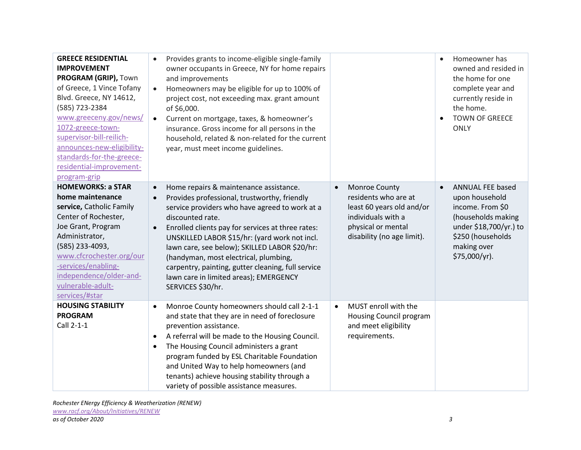| <b>GREECE RESIDENTIAL</b><br><b>IMPROVEMENT</b><br>PROGRAM (GRIP), Town<br>of Greece, 1 Vince Tofany<br>Blvd. Greece, NY 14612,<br>(585) 723-2384<br>www.greeceny.gov/news/<br>1072-greece-town-<br>supervisor-bill-reilich-<br>announces-new-eligibility-<br>standards-for-the-greece-<br>residential-improvement-<br>program-grip | Provides grants to income-eligible single-family<br>owner occupants in Greece, NY for home repairs<br>and improvements<br>Homeowners may be eligible for up to 100% of<br>$\bullet$<br>project cost, not exceeding max. grant amount<br>of \$6,000.<br>Current on mortgage, taxes, & homeowner's<br>$\bullet$<br>insurance. Gross income for all persons in the<br>household, related & non-related for the current<br>year, must meet income guidelines.                                                                |                                                                                                                                                           | Homeowner has<br>owned and resided in<br>the home for one<br>complete year and<br>currently reside in<br>the home.<br><b>TOWN OF GREECE</b><br><b>ONLY</b>         |
|-------------------------------------------------------------------------------------------------------------------------------------------------------------------------------------------------------------------------------------------------------------------------------------------------------------------------------------|--------------------------------------------------------------------------------------------------------------------------------------------------------------------------------------------------------------------------------------------------------------------------------------------------------------------------------------------------------------------------------------------------------------------------------------------------------------------------------------------------------------------------|-----------------------------------------------------------------------------------------------------------------------------------------------------------|--------------------------------------------------------------------------------------------------------------------------------------------------------------------|
| <b>HOMEWORKS: a STAR</b><br>home maintenance<br>service, Catholic Family<br>Center of Rochester,<br>Joe Grant, Program<br>Administrator,<br>(585) 233-4093,<br>www.cfcrochester.org/our<br>-services/enabling-<br>independence/older-and-<br>vulnerable-adult-<br>services/#star                                                    | Home repairs & maintenance assistance.<br>$\bullet$<br>Provides professional, trustworthy, friendly<br>$\bullet$<br>service providers who have agreed to work at a<br>discounted rate.<br>Enrolled clients pay for services at three rates:<br>$\bullet$<br>UNSKILLED LABOR \$15/hr: (yard work not incl.<br>lawn care, see below); SKILLED LABOR \$20/hr:<br>(handyman, most electrical, plumbing,<br>carpentry, painting, gutter cleaning, full service<br>lawn care in limited areas); EMERGENCY<br>SERVICES \$30/hr. | Monroe County<br>$\bullet$<br>residents who are at<br>least 60 years old and/or<br>individuals with a<br>physical or mental<br>disability (no age limit). | <b>ANNUAL FEE based</b><br>upon household<br>income. From \$0<br>(households making<br>under \$18,700/yr.) to<br>\$250 (households<br>making over<br>\$75,000/yr). |
| <b>HOUSING STABILITY</b><br><b>PROGRAM</b><br>Call 2-1-1                                                                                                                                                                                                                                                                            | Monroe County homeowners should call 2-1-1<br>$\bullet$<br>and state that they are in need of foreclosure<br>prevention assistance.<br>A referral will be made to the Housing Council.<br>The Housing Council administers a grant<br>$\bullet$<br>program funded by ESL Charitable Foundation<br>and United Way to help homeowners (and<br>tenants) achieve housing stability through a<br>variety of possible assistance measures.                                                                                      | MUST enroll with the<br>$\bullet$<br>Housing Council program<br>and meet eligibility<br>requirements.                                                     |                                                                                                                                                                    |

*Rochester ENergy Efficiency & Weatherization (RENEW) [www.racf.org/About/Initiatives/RENEW](http://www.racf.org/About/Initiatives/RENEW)*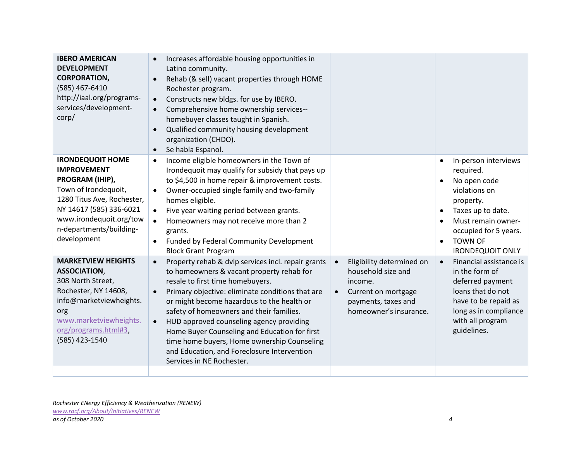| <b>IBERO AMERICAN</b><br><b>DEVELOPMENT</b><br><b>CORPORATION,</b><br>(585) 467-6410<br>http://iaal.org/programs-<br>services/development-<br>corp/                                                                    | Increases affordable housing opportunities in<br>Latino community.<br>Rehab (& sell) vacant properties through HOME<br>Rochester program.<br>Constructs new bldgs. for use by IBERO.<br>$\bullet$<br>Comprehensive home ownership services--<br>$\bullet$<br>homebuyer classes taught in Spanish.<br>Qualified community housing development<br>organization (CHDO).<br>Se habla Espanol.<br>$\bullet$                                                                                                                                           |                                                                                                                                                 |                                                                                                                                                                                                                                         |
|------------------------------------------------------------------------------------------------------------------------------------------------------------------------------------------------------------------------|--------------------------------------------------------------------------------------------------------------------------------------------------------------------------------------------------------------------------------------------------------------------------------------------------------------------------------------------------------------------------------------------------------------------------------------------------------------------------------------------------------------------------------------------------|-------------------------------------------------------------------------------------------------------------------------------------------------|-----------------------------------------------------------------------------------------------------------------------------------------------------------------------------------------------------------------------------------------|
| <b>IRONDEQUOIT HOME</b><br><b>IMPROVEMENT</b><br>PROGRAM (IHIP),<br>Town of Irondequoit,<br>1280 Titus Ave, Rochester,<br>NY 14617 (585) 336-6021<br>www.irondequoit.org/tow<br>n-departments/building-<br>development | Income eligible homeowners in the Town of<br>$\bullet$<br>Irondequoit may qualify for subsidy that pays up<br>to \$4,500 in home repair & improvement costs.<br>Owner-occupied single family and two-family<br>$\bullet$<br>homes eligible.<br>Five year waiting period between grants.<br>$\bullet$<br>Homeowners may not receive more than 2<br>$\bullet$<br>grants.<br>Funded by Federal Community Development<br>$\bullet$<br><b>Block Grant Program</b>                                                                                     |                                                                                                                                                 | In-person interviews<br>$\bullet$<br>required.<br>No open code<br>violations on<br>property.<br>Taxes up to date.<br>$\bullet$<br>Must remain owner-<br>occupied for 5 years.<br><b>TOWN OF</b><br>$\bullet$<br><b>IRONDEQUOIT ONLY</b> |
| <b>MARKETVIEW HEIGHTS</b><br><b>ASSOCIATION,</b><br>308 North Street,<br>Rochester, NY 14608,<br>info@marketviewheights.<br>org<br>www.marketviewheights.<br>org/programs.html#3,<br>(585) 423-1540                    | Property rehab & dvlp services incl. repair grants<br>$\bullet$<br>to homeowners & vacant property rehab for<br>resale to first time homebuyers.<br>Primary objective: eliminate conditions that are<br>$\bullet$<br>or might become hazardous to the health or<br>safety of homeowners and their families.<br>HUD approved counseling agency providing<br>$\bullet$<br>Home Buyer Counseling and Education for first<br>time home buyers, Home ownership Counseling<br>and Education, and Foreclosure Intervention<br>Services in NE Rochester. | Eligibility determined on<br>household size and<br>income.<br>Current on mortgage<br>$\bullet$<br>payments, taxes and<br>homeowner's insurance. | Financial assistance is<br>$\bullet$<br>in the form of<br>deferred payment<br>loans that do not<br>have to be repaid as<br>long as in compliance<br>with all program<br>guidelines.                                                     |
|                                                                                                                                                                                                                        |                                                                                                                                                                                                                                                                                                                                                                                                                                                                                                                                                  |                                                                                                                                                 |                                                                                                                                                                                                                                         |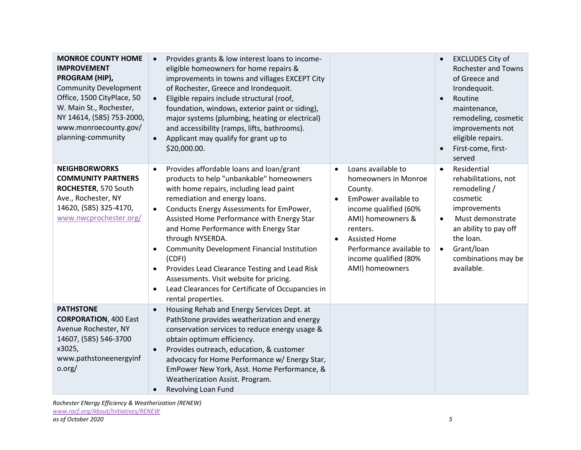| <b>MONROE COUNTY HOME</b><br><b>IMPROVEMENT</b><br>PROGRAM (HIP),<br><b>Community Development</b><br>Office, 1500 CityPlace, 50<br>W. Main St., Rochester,<br>NY 14614, (585) 753-2000,<br>www.monroecounty.gov/<br>planning-community | Provides grants & low interest loans to income-<br>eligible homeowners for home repairs &<br>improvements in towns and villages EXCEPT City<br>of Rochester, Greece and Irondequoit.<br>Eligible repairs include structural (roof,<br>$\bullet$<br>foundation, windows, exterior paint or siding),<br>major systems (plumbing, heating or electrical)<br>and accessibility (ramps, lifts, bathrooms).<br>Applicant may qualify for grant up to<br>$\bullet$<br>\$20,000.00.                                                                                                                                        |                                                                                                                                                                                                                                                                                | <b>EXCLUDES City of</b><br><b>Rochester and Towns</b><br>of Greece and<br>Irondequoit.<br>Routine<br>maintenance,<br>remodeling, cosmetic<br>improvements not<br>eligible repairs.<br>First-come, first-<br>served     |
|----------------------------------------------------------------------------------------------------------------------------------------------------------------------------------------------------------------------------------------|--------------------------------------------------------------------------------------------------------------------------------------------------------------------------------------------------------------------------------------------------------------------------------------------------------------------------------------------------------------------------------------------------------------------------------------------------------------------------------------------------------------------------------------------------------------------------------------------------------------------|--------------------------------------------------------------------------------------------------------------------------------------------------------------------------------------------------------------------------------------------------------------------------------|------------------------------------------------------------------------------------------------------------------------------------------------------------------------------------------------------------------------|
| <b>NEIGHBORWORKS</b><br><b>COMMUNITY PARTNERS</b><br>ROCHESTER, 570 South<br>Ave., Rochester, NY<br>14620, (585) 325-4170,<br>www.nwcprochester.org/                                                                                   | Provides affordable loans and loan/grant<br>$\bullet$<br>products to help "unbankable" homeowners<br>with home repairs, including lead paint<br>remediation and energy loans.<br>Conducts Energy Assessments for EmPower,<br>$\bullet$<br>Assisted Home Performance with Energy Star<br>and Home Performance with Energy Star<br>through NYSERDA.<br><b>Community Development Financial Institution</b><br>(CDFI)<br>Provides Lead Clearance Testing and Lead Risk<br>$\bullet$<br>Assessments. Visit website for pricing.<br>Lead Clearances for Certificate of Occupancies in<br>$\bullet$<br>rental properties. | Loans available to<br>$\bullet$<br>homeowners in Monroe<br>County.<br>EmPower available to<br>$\bullet$<br>income qualified (60%<br>AMI) homeowners &<br>renters.<br><b>Assisted Home</b><br>$\bullet$<br>Performance available to<br>income qualified (80%<br>AMI) homeowners | Residential<br>$\bullet$<br>rehabilitations, not<br>remodeling /<br>cosmetic<br>improvements<br>Must demonstrate<br>an ability to pay off<br>the loan.<br>Grant/loan<br>$\bullet$<br>combinations may be<br>available. |
| <b>PATHSTONE</b><br><b>CORPORATION, 400 East</b><br>Avenue Rochester, NY<br>14607, (585) 546-3700<br>x3025,<br>www.pathstoneenergyinf<br>o.org/                                                                                        | Housing Rehab and Energy Services Dept. at<br>$\bullet$<br>PathStone provides weatherization and energy<br>conservation services to reduce energy usage &<br>obtain optimum efficiency.<br>Provides outreach, education, & customer<br>$\bullet$<br>advocacy for Home Performance w/ Energy Star,<br>EmPower New York, Asst. Home Performance, &<br>Weatherization Assist. Program.<br>Revolving Loan Fund<br>$\bullet$                                                                                                                                                                                            |                                                                                                                                                                                                                                                                                |                                                                                                                                                                                                                        |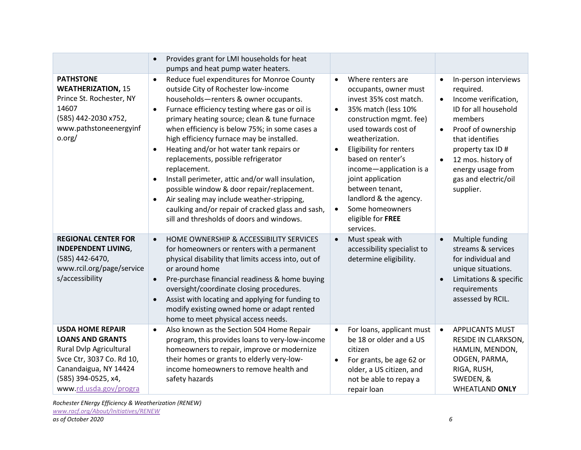|                                                                                                                                                                                      | Provides grant for LMI households for heat<br>$\bullet$<br>pumps and heat pump water heaters.                                                                                                                                                                                                                                                                                                                                                                                                                                                                                                                                                                                                                           |                                                                                                                                                                                                                                                                                                                                                                                                                                |                                                                                                                                                                                                                                                                                  |
|--------------------------------------------------------------------------------------------------------------------------------------------------------------------------------------|-------------------------------------------------------------------------------------------------------------------------------------------------------------------------------------------------------------------------------------------------------------------------------------------------------------------------------------------------------------------------------------------------------------------------------------------------------------------------------------------------------------------------------------------------------------------------------------------------------------------------------------------------------------------------------------------------------------------------|--------------------------------------------------------------------------------------------------------------------------------------------------------------------------------------------------------------------------------------------------------------------------------------------------------------------------------------------------------------------------------------------------------------------------------|----------------------------------------------------------------------------------------------------------------------------------------------------------------------------------------------------------------------------------------------------------------------------------|
| <b>PATHSTONE</b><br><b>WEATHERIZATION, 15</b><br>Prince St. Rochester, NY<br>14607<br>(585) 442-2030 x752,<br>www.pathstoneenergyinf<br>o.org/                                       | Reduce fuel expenditures for Monroe County<br>$\bullet$<br>outside City of Rochester low-income<br>households-renters & owner occupants.<br>Furnace efficiency testing where gas or oil is<br>$\bullet$<br>primary heating source; clean & tune furnace<br>when efficiency is below 75%; in some cases a<br>high efficiency furnace may be installed.<br>Heating and/or hot water tank repairs or<br>replacements, possible refrigerator<br>replacement.<br>Install perimeter, attic and/or wall insulation,<br>possible window & door repair/replacement.<br>Air sealing may include weather-stripping,<br>$\bullet$<br>caulking and/or repair of cracked glass and sash,<br>sill and thresholds of doors and windows. | Where renters are<br>$\bullet$<br>occupants, owner must<br>invest 35% cost match.<br>35% match (less 10%<br>$\bullet$<br>construction mgmt. fee)<br>used towards cost of<br>weatherization.<br><b>Eligibility for renters</b><br>$\bullet$<br>based on renter's<br>income-application is a<br>joint application<br>between tenant,<br>landlord & the agency.<br>Some homeowners<br>$\bullet$<br>eligible for FREE<br>services. | In-person interviews<br>$\bullet$<br>required.<br>Income verification,<br>$\bullet$<br>ID for all household<br>members<br>Proof of ownership<br>that identifies<br>property tax ID#<br>12 mos. history of<br>$\bullet$<br>energy usage from<br>gas and electric/oil<br>supplier. |
| <b>REGIONAL CENTER FOR</b><br><b>INDEPENDENT LIVING,</b><br>(585) 442-6470,<br>www.rcil.org/page/service<br>s/accessibility                                                          | HOME OWNERSHIP & ACCESSIBILITY SERVICES<br>$\bullet$<br>for homeowners or renters with a permanent<br>physical disability that limits access into, out of<br>or around home<br>Pre-purchase financial readiness & home buying<br>$\bullet$<br>oversight/coordinate closing procedures.<br>Assist with locating and applying for funding to<br>modify existing owned home or adapt rented<br>home to meet physical access needs.                                                                                                                                                                                                                                                                                         | Must speak with<br>$\bullet$<br>accessibility specialist to<br>determine eligibility.                                                                                                                                                                                                                                                                                                                                          | Multiple funding<br>streams & services<br>for individual and<br>unique situations.<br>Limitations & specific<br>requirements<br>assessed by RCIL.                                                                                                                                |
| <b>USDA HOME REPAIR</b><br><b>LOANS AND GRANTS</b><br>Rural Dvlp Agricultural<br>Svce Ctr, 3037 Co. Rd 10,<br>Canandaigua, NY 14424<br>(585) 394-0525, x4,<br>www.rd.usda.gov/progra | Also known as the Section 504 Home Repair<br>$\bullet$<br>program, this provides loans to very-low-income<br>homeowners to repair, improve or modernize<br>their homes or grants to elderly very-low-<br>income homeowners to remove health and<br>safety hazards                                                                                                                                                                                                                                                                                                                                                                                                                                                       | For loans, applicant must<br>$\bullet$<br>be 18 or older and a US<br>citizen<br>For grants, be age 62 or<br>$\bullet$<br>older, a US citizen, and<br>not be able to repay a<br>repair loan                                                                                                                                                                                                                                     | <b>APPLICANTS MUST</b><br>$\bullet$<br>RESIDE IN CLARKSON,<br>HAMLIN, MENDON,<br>ODGEN, PARMA,<br>RIGA, RUSH,<br>SWEDEN, &<br><b>WHEATLAND ONLY</b>                                                                                                                              |

*Rochester ENergy Efficiency & Weatherization (RENEW) [www.racf.org/About/Initiatives/RENEW](http://www.racf.org/About/Initiatives/RENEW) as of October 2020 6*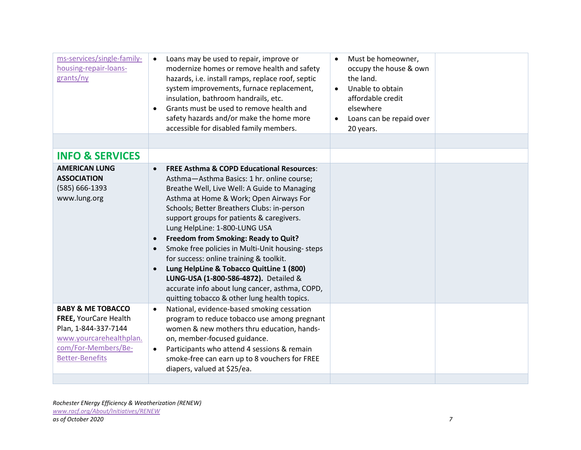| Loans may be used to repair, improve or<br>$\bullet$<br>modernize homes or remove health and safety<br>hazards, i.e. install ramps, replace roof, septic<br>system improvements, furnace replacement,<br>insulation, bathroom handrails, etc.<br>Grants must be used to remove health and<br>safety hazards and/or make the home more<br>accessible for disabled family members.                                                                                                                                                                                                                                                                                                              | Must be homeowner,<br>occupy the house & own<br>the land.<br>Unable to obtain<br>affordable credit<br>elsewhere<br>Loans can be repaid over<br>20 years. |
|-----------------------------------------------------------------------------------------------------------------------------------------------------------------------------------------------------------------------------------------------------------------------------------------------------------------------------------------------------------------------------------------------------------------------------------------------------------------------------------------------------------------------------------------------------------------------------------------------------------------------------------------------------------------------------------------------|----------------------------------------------------------------------------------------------------------------------------------------------------------|
|                                                                                                                                                                                                                                                                                                                                                                                                                                                                                                                                                                                                                                                                                               |                                                                                                                                                          |
| <b>FREE Asthma &amp; COPD Educational Resources:</b><br>$\bullet$<br>Asthma-Asthma Basics: 1 hr. online course;<br>Breathe Well, Live Well: A Guide to Managing<br>Asthma at Home & Work; Open Airways For<br>Schools; Better Breathers Clubs: in-person<br>support groups for patients & caregivers.<br>Lung HelpLine: 1-800-LUNG USA<br>Freedom from Smoking: Ready to Quit?<br>$\bullet$<br>Smoke free policies in Multi-Unit housing-steps<br>for success: online training & toolkit.<br>Lung HelpLine & Tobacco QuitLine 1 (800)<br>$\bullet$<br>LUNG-USA (1-800-586-4872). Detailed &<br>accurate info about lung cancer, asthma, COPD,<br>quitting tobacco & other lung health topics. |                                                                                                                                                          |
| National, evidence-based smoking cessation<br>$\bullet$<br>program to reduce tobacco use among pregnant<br>women & new mothers thru education, hands-<br>on, member-focused guidance.<br>Participants who attend 4 sessions & remain<br>$\bullet$<br>smoke-free can earn up to 8 vouchers for FREE<br>diapers, valued at \$25/ea.                                                                                                                                                                                                                                                                                                                                                             |                                                                                                                                                          |
|                                                                                                                                                                                                                                                                                                                                                                                                                                                                                                                                                                                                                                                                                               |                                                                                                                                                          |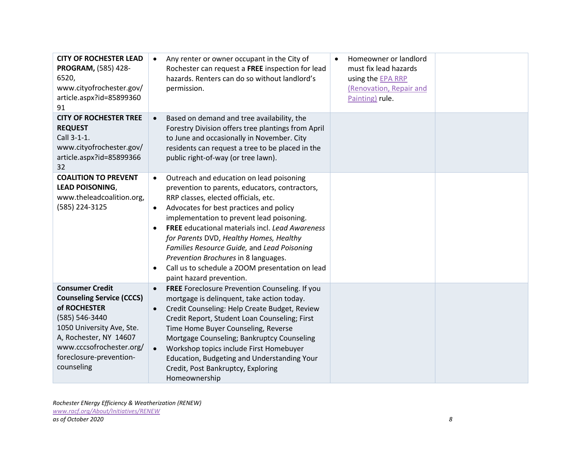| <b>CITY OF ROCHESTER LEAD</b><br>PROGRAM, (585) 428-<br>6520,<br>www.cityofrochester.gov/<br>article.aspx?id=85899360<br>91                                                                                              | Any renter or owner occupant in the City of<br>$\bullet$<br>Rochester can request a FREE inspection for lead<br>hazards. Renters can do so without landlord's<br>permission.                                                                                                                                                                                                                                                                                                                                                                 | Homeowner or landlord<br>$\bullet$<br>must fix lead hazards<br>using the EPA RRP<br>(Renovation, Repair and<br>Painting) rule. |  |
|--------------------------------------------------------------------------------------------------------------------------------------------------------------------------------------------------------------------------|----------------------------------------------------------------------------------------------------------------------------------------------------------------------------------------------------------------------------------------------------------------------------------------------------------------------------------------------------------------------------------------------------------------------------------------------------------------------------------------------------------------------------------------------|--------------------------------------------------------------------------------------------------------------------------------|--|
| <b>CITY OF ROCHESTER TREE</b><br><b>REQUEST</b><br>Call 3-1-1.<br>www.cityofrochester.gov/<br>article.aspx?id=85899366<br>32                                                                                             | Based on demand and tree availability, the<br>$\bullet$<br>Forestry Division offers tree plantings from April<br>to June and occasionally in November. City<br>residents can request a tree to be placed in the<br>public right-of-way (or tree lawn).                                                                                                                                                                                                                                                                                       |                                                                                                                                |  |
| <b>COALITION TO PREVENT</b><br><b>LEAD POISONING,</b><br>www.theleadcoalition.org,<br>(585) 224-3125                                                                                                                     | Outreach and education on lead poisoning<br>$\bullet$<br>prevention to parents, educators, contractors,<br>RRP classes, elected officials, etc.<br>Advocates for best practices and policy<br>$\bullet$<br>implementation to prevent lead poisoning.<br><b>FREE</b> educational materials incl. Lead Awareness<br>$\bullet$<br>for Parents DVD, Healthy Homes, Healthy<br>Families Resource Guide, and Lead Poisoning<br>Prevention Brochures in 8 languages.<br>Call us to schedule a ZOOM presentation on lead<br>paint hazard prevention. |                                                                                                                                |  |
| <b>Consumer Credit</b><br><b>Counseling Service (CCCS)</b><br>of ROCHESTER<br>(585) 546-3440<br>1050 University Ave, Ste.<br>A, Rochester, NY 14607<br>www.cccsofrochester.org/<br>foreclosure-prevention-<br>counseling | FREE Foreclosure Prevention Counseling. If you<br>$\bullet$<br>mortgage is delinquent, take action today.<br>Credit Counseling: Help Create Budget, Review<br>Credit Report, Student Loan Counseling; First<br>Time Home Buyer Counseling, Reverse<br>Mortgage Counseling; Bankruptcy Counseling<br>Workshop topics include First Homebuyer<br>$\bullet$<br>Education, Budgeting and Understanding Your<br>Credit, Post Bankruptcy, Exploring<br>Homeownership                                                                               |                                                                                                                                |  |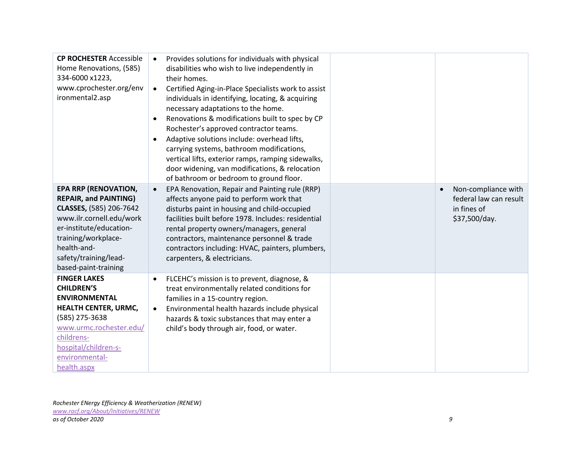| <b>CP ROCHESTER Accessible</b><br>Home Renovations, (585)<br>334-6000 x1223,<br>www.cprochester.org/env<br>ironmental2.asp                                                                                                           | Provides solutions for individuals with physical<br>$\bullet$<br>disabilities who wish to live independently in<br>their homes.<br>Certified Aging-in-Place Specialists work to assist<br>$\bullet$<br>individuals in identifying, locating, & acquiring<br>necessary adaptations to the home.<br>Renovations & modifications built to spec by CP<br>$\bullet$<br>Rochester's approved contractor teams.<br>Adaptive solutions include: overhead lifts,<br>$\bullet$<br>carrying systems, bathroom modifications,<br>vertical lifts, exterior ramps, ramping sidewalks,<br>door widening, van modifications, & relocation<br>of bathroom or bedroom to ground floor. |                                                                                            |
|--------------------------------------------------------------------------------------------------------------------------------------------------------------------------------------------------------------------------------------|----------------------------------------------------------------------------------------------------------------------------------------------------------------------------------------------------------------------------------------------------------------------------------------------------------------------------------------------------------------------------------------------------------------------------------------------------------------------------------------------------------------------------------------------------------------------------------------------------------------------------------------------------------------------|--------------------------------------------------------------------------------------------|
| <b>EPA RRP (RENOVATION,</b><br><b>REPAIR, and PAINTING)</b><br>CLASSES, (585) 206-7642<br>www.ilr.cornell.edu/work<br>er-institute/education-<br>training/workplace-<br>health-and-<br>safety/training/lead-<br>based-paint-training | EPA Renovation, Repair and Painting rule (RRP)<br>$\bullet$<br>affects anyone paid to perform work that<br>disturbs paint in housing and child-occupied<br>facilities built before 1978. Includes: residential<br>rental property owners/managers, general<br>contractors, maintenance personnel & trade<br>contractors including: HVAC, painters, plumbers,<br>carpenters, & electricians.                                                                                                                                                                                                                                                                          | Non-compliance with<br>$\bullet$<br>federal law can result<br>in fines of<br>\$37,500/day. |
| <b>FINGER LAKES</b><br><b>CHILDREN'S</b><br><b>ENVIRONMENTAL</b><br>HEALTH CENTER, URMC,<br>(585) 275-3638<br>www.urmc.rochester.edu/<br>childrens-<br>hospital/children-s-<br>environmental-<br>health.aspx                         | FLCEHC's mission is to prevent, diagnose, &<br>$\bullet$<br>treat environmentally related conditions for<br>families in a 15-country region.<br>Environmental health hazards include physical<br>$\bullet$<br>hazards & toxic substances that may enter a<br>child's body through air, food, or water.                                                                                                                                                                                                                                                                                                                                                               |                                                                                            |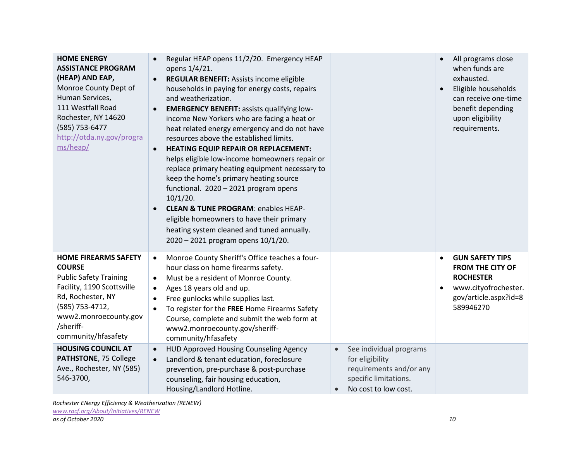| <b>HOME ENERGY</b><br><b>ASSISTANCE PROGRAM</b><br>(HEAP) AND EAP,<br>Monroe County Dept of<br>Human Services,<br>111 Westfall Road<br>Rochester, NY 14620<br>(585) 753-6477<br>http://otda.ny.gov/progra<br>ms/heap/ | Regular HEAP opens 11/2/20. Emergency HEAP<br>opens 1/4/21.<br>REGULAR BENEFIT: Assists income eligible<br>households in paying for energy costs, repairs<br>and weatherization.<br><b>EMERGENCY BENEFIT:</b> assists qualifying low-<br>$\bullet$<br>income New Yorkers who are facing a heat or<br>heat related energy emergency and do not have<br>resources above the established limits.<br><b>HEATING EQUIP REPAIR OR REPLACEMENT:</b><br>$\bullet$<br>helps eligible low-income homeowners repair or<br>replace primary heating equipment necessary to<br>keep the home's primary heating source<br>functional. 2020 - 2021 program opens<br>$10/1/20$ .<br><b>CLEAN &amp; TUNE PROGRAM: enables HEAP-</b><br>eligible homeowners to have their primary<br>heating system cleaned and tuned annually.<br>2020 - 2021 program opens 10/1/20. |                                                                                                                                                  | All programs close<br>when funds are<br>exhausted.<br>Eligible households<br>can receive one-time<br>benefit depending<br>upon eligibility<br>requirements. |
|-----------------------------------------------------------------------------------------------------------------------------------------------------------------------------------------------------------------------|----------------------------------------------------------------------------------------------------------------------------------------------------------------------------------------------------------------------------------------------------------------------------------------------------------------------------------------------------------------------------------------------------------------------------------------------------------------------------------------------------------------------------------------------------------------------------------------------------------------------------------------------------------------------------------------------------------------------------------------------------------------------------------------------------------------------------------------------------|--------------------------------------------------------------------------------------------------------------------------------------------------|-------------------------------------------------------------------------------------------------------------------------------------------------------------|
| <b>HOME FIREARMS SAFETY</b><br><b>COURSE</b><br><b>Public Safety Training</b><br>Facility, 1190 Scottsville<br>Rd, Rochester, NY<br>(585) 753-4712,<br>www2.monroecounty.gov<br>/sheriff-<br>community/hfasafety      | Monroe County Sheriff's Office teaches a four-<br>$\bullet$<br>hour class on home firearms safety.<br>Must be a resident of Monroe County.<br>$\bullet$<br>Ages 18 years old and up.<br>$\bullet$<br>Free gunlocks while supplies last.<br>$\bullet$<br>To register for the FREE Home Firearms Safety<br>$\bullet$<br>Course, complete and submit the web form at<br>www2.monroecounty.gov/sheriff-<br>community/hfasafety                                                                                                                                                                                                                                                                                                                                                                                                                         |                                                                                                                                                  | <b>GUN SAFETY TIPS</b><br>٠<br><b>FROM THE CITY OF</b><br><b>ROCHESTER</b><br>www.cityofrochester.<br>gov/article.aspx?id=8<br>589946270                    |
| <b>HOUSING COUNCIL AT</b><br>PATHSTONE, 75 College<br>Ave., Rochester, NY (585)<br>546-3700,                                                                                                                          | HUD Approved Housing Counseling Agency<br>$\bullet$<br>Landlord & tenant education, foreclosure<br>$\bullet$<br>prevention, pre-purchase & post-purchase<br>counseling, fair housing education,<br>Housing/Landlord Hotline.                                                                                                                                                                                                                                                                                                                                                                                                                                                                                                                                                                                                                       | See individual programs<br>$\bullet$<br>for eligibility<br>requirements and/or any<br>specific limitations.<br>No cost to low cost.<br>$\bullet$ |                                                                                                                                                             |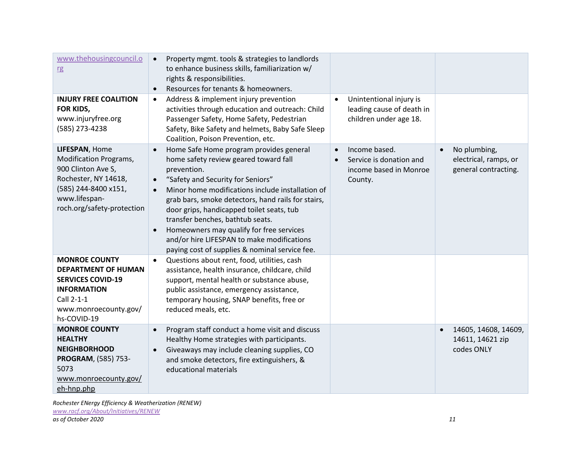| www.thehousingcouncil.o<br>rg                                                                                                                                 | Property mgmt. tools & strategies to landlords<br>$\bullet$<br>to enhance business skills, familiarization w/<br>rights & responsibilities.<br>Resources for tenants & homeowners.<br>$\bullet$                                                                                                                                                                                                                                                                                                                                 |                                                                                            |                                                                     |
|---------------------------------------------------------------------------------------------------------------------------------------------------------------|---------------------------------------------------------------------------------------------------------------------------------------------------------------------------------------------------------------------------------------------------------------------------------------------------------------------------------------------------------------------------------------------------------------------------------------------------------------------------------------------------------------------------------|--------------------------------------------------------------------------------------------|---------------------------------------------------------------------|
| <b>INJURY FREE COALITION</b><br>FOR KIDS,<br>www.injuryfree.org<br>(585) 273-4238                                                                             | Address & implement injury prevention<br>$\bullet$<br>activities through education and outreach: Child<br>Passenger Safety, Home Safety, Pedestrian<br>Safety, Bike Safety and helmets, Baby Safe Sleep<br>Coalition, Poison Prevention, etc.                                                                                                                                                                                                                                                                                   | Unintentional injury is<br>leading cause of death in<br>children under age 18.             |                                                                     |
| LIFESPAN, Home<br>Modification Programs,<br>900 Clinton Ave S,<br>Rochester, NY 14618,<br>(585) 244-8400 x151,<br>www.lifespan-<br>roch.org/safety-protection | Home Safe Home program provides general<br>$\bullet$<br>home safety review geared toward fall<br>prevention.<br>"Safety and Security for Seniors"<br>$\bullet$<br>Minor home modifications include installation of<br>$\bullet$<br>grab bars, smoke detectors, hand rails for stairs,<br>door grips, handicapped toilet seats, tub<br>transfer benches, bathtub seats.<br>Homeowners may qualify for free services<br>$\bullet$<br>and/or hire LIFESPAN to make modifications<br>paying cost of supplies & nominal service fee. | Income based.<br>$\bullet$<br>Service is donation and<br>income based in Monroe<br>County. | No plumbing,<br>electrical, ramps, or<br>general contracting.       |
| <b>MONROE COUNTY</b><br><b>DEPARTMENT OF HUMAN</b><br><b>SERVICES COVID-19</b><br><b>INFORMATION</b><br>Call 2-1-1<br>www.monroecounty.gov/<br>hs-COVID-19    | Questions about rent, food, utilities, cash<br>$\bullet$<br>assistance, health insurance, childcare, child<br>support, mental health or substance abuse,<br>public assistance, emergency assistance,<br>temporary housing, SNAP benefits, free or<br>reduced meals, etc.                                                                                                                                                                                                                                                        |                                                                                            |                                                                     |
| <b>MONROE COUNTY</b><br><b>HEALTHY</b><br><b>NEIGHBORHOOD</b><br>PROGRAM, (585) 753-<br>5073<br>www.monroecounty.gov/<br>eh-hnp.php                           | Program staff conduct a home visit and discuss<br>$\bullet$<br>Healthy Home strategies with participants.<br>Giveaways may include cleaning supplies, CO<br>and smoke detectors, fire extinguishers, &<br>educational materials                                                                                                                                                                                                                                                                                                 |                                                                                            | 14605, 14608, 14609,<br>$\bullet$<br>14611, 14621 zip<br>codes ONLY |

*Rochester ENergy Efficiency & Weatherization (RENEW) [www.racf.org/About/Initiatives/RENEW](http://www.racf.org/About/Initiatives/RENEW) as of October 2020 11*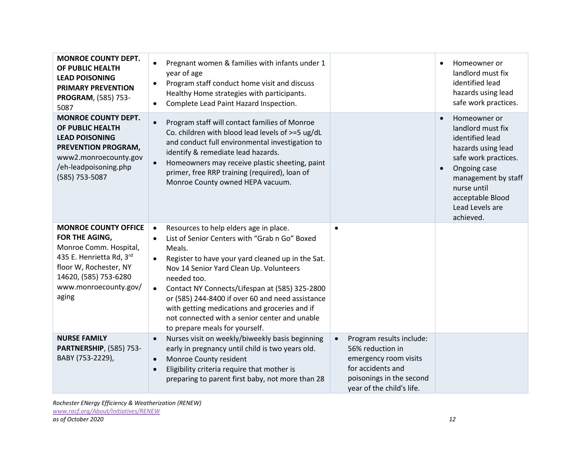| <b>MONROE COUNTY DEPT.</b><br>OF PUBLIC HEALTH<br><b>LEAD POISONING</b><br><b>PRIMARY PREVENTION</b><br>PROGRAM, (585) 753-<br>5087                                                      | Pregnant women & families with infants under 1<br>$\bullet$<br>year of age<br>Program staff conduct home visit and discuss<br>$\bullet$<br>Healthy Home strategies with participants.<br>Complete Lead Paint Hazard Inspection.<br>$\bullet$                                                                                                                                                                                                                                                                   |                                                                                                                                                                  | Homeowner or<br>landlord must fix<br>identified lead<br>hazards using lead<br>safe work practices.                                                                                                           |
|------------------------------------------------------------------------------------------------------------------------------------------------------------------------------------------|----------------------------------------------------------------------------------------------------------------------------------------------------------------------------------------------------------------------------------------------------------------------------------------------------------------------------------------------------------------------------------------------------------------------------------------------------------------------------------------------------------------|------------------------------------------------------------------------------------------------------------------------------------------------------------------|--------------------------------------------------------------------------------------------------------------------------------------------------------------------------------------------------------------|
| <b>MONROE COUNTY DEPT.</b><br>OF PUBLIC HEALTH<br><b>LEAD POISONING</b><br>PREVENTION PROGRAM,<br>www2.monroecounty.gov<br>/eh-leadpoisoning.php<br>(585) 753-5087                       | Program staff will contact families of Monroe<br>$\bullet$<br>Co. children with blood lead levels of >=5 ug/dL<br>and conduct full environmental investigation to<br>identify & remediate lead hazards.<br>Homeowners may receive plastic sheeting, paint<br>primer, free RRP training (required), loan of<br>Monroe County owned HEPA vacuum.                                                                                                                                                                 |                                                                                                                                                                  | Homeowner or<br>landlord must fix<br>identified lead<br>hazards using lead<br>safe work practices.<br>Ongoing case<br>management by staff<br>nurse until<br>acceptable Blood<br>Lead Levels are<br>achieved. |
| <b>MONROE COUNTY OFFICE</b><br>FOR THE AGING,<br>Monroe Comm. Hospital,<br>435 E. Henrietta Rd, 3rd<br>floor W, Rochester, NY<br>14620, (585) 753-6280<br>www.monroecounty.gov/<br>aging | Resources to help elders age in place.<br>$\bullet$<br>List of Senior Centers with "Grab n Go" Boxed<br>$\bullet$<br>Meals.<br>Register to have your yard cleaned up in the Sat.<br>$\bullet$<br>Nov 14 Senior Yard Clean Up. Volunteers<br>needed too.<br>Contact NY Connects/Lifespan at (585) 325-2800<br>$\bullet$<br>or (585) 244-8400 if over 60 and need assistance<br>with getting medications and groceries and if<br>not connected with a senior center and unable<br>to prepare meals for yourself. | $\bullet$                                                                                                                                                        |                                                                                                                                                                                                              |
| <b>NURSE FAMILY</b><br><b>PARTNERSHIP, (585) 753-</b><br>BABY (753-2229),                                                                                                                | Nurses visit on weekly/biweekly basis beginning<br>$\bullet$<br>early in pregnancy until child is two years old.<br>Monroe County resident<br>$\bullet$<br>Eligibility criteria require that mother is<br>$\bullet$<br>preparing to parent first baby, not more than 28                                                                                                                                                                                                                                        | Program results include:<br>$\bullet$<br>56% reduction in<br>emergency room visits<br>for accidents and<br>poisonings in the second<br>year of the child's life. |                                                                                                                                                                                                              |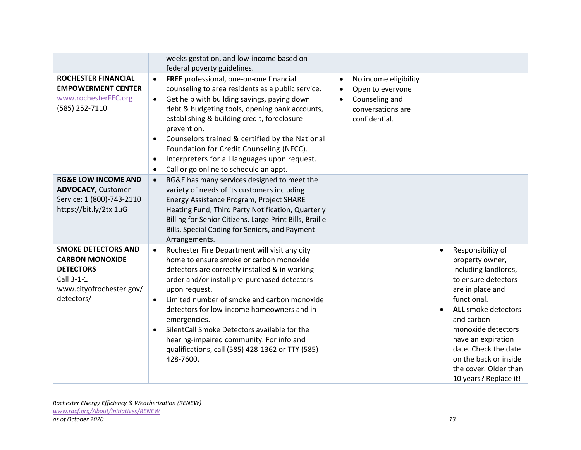|                                                                                                                                  | weeks gestation, and low-income based on<br>federal poverty guidelines.                                                                                                                                                                                                                                                                                                                                                                                                                                                      |                                                                                                                                          |                                                                                                                                                                                                                                                                                                                                |
|----------------------------------------------------------------------------------------------------------------------------------|------------------------------------------------------------------------------------------------------------------------------------------------------------------------------------------------------------------------------------------------------------------------------------------------------------------------------------------------------------------------------------------------------------------------------------------------------------------------------------------------------------------------------|------------------------------------------------------------------------------------------------------------------------------------------|--------------------------------------------------------------------------------------------------------------------------------------------------------------------------------------------------------------------------------------------------------------------------------------------------------------------------------|
| <b>ROCHESTER FINANCIAL</b><br><b>EMPOWERMENT CENTER</b><br>www.rochesterFEC.org<br>(585) 252-7110                                | FREE professional, one-on-one financial<br>$\bullet$<br>counseling to area residents as a public service.<br>Get help with building savings, paying down<br>$\bullet$<br>debt & budgeting tools, opening bank accounts,<br>establishing & building credit, foreclosure<br>prevention.<br>Counselors trained & certified by the National<br>$\bullet$<br>Foundation for Credit Counseling (NFCC).<br>Interpreters for all languages upon request.<br>$\bullet$<br>Call or go online to schedule an appt.<br>$\bullet$         | No income eligibility<br>$\bullet$<br>Open to everyone<br>$\bullet$<br>Counseling and<br>$\bullet$<br>conversations are<br>confidential. |                                                                                                                                                                                                                                                                                                                                |
| <b>RG&amp;E LOW INCOME AND</b><br><b>ADVOCACY, Customer</b><br>Service: 1 (800)-743-2110<br>https://bit.ly/2txi1uG               | RG&E has many services designed to meet the<br>$\bullet$<br>variety of needs of its customers including<br>Energy Assistance Program, Project SHARE<br>Heating Fund, Third Party Notification, Quarterly<br>Billing for Senior Citizens, Large Print Bills, Braille<br>Bills, Special Coding for Seniors, and Payment<br>Arrangements.                                                                                                                                                                                       |                                                                                                                                          |                                                                                                                                                                                                                                                                                                                                |
| <b>SMOKE DETECTORS AND</b><br><b>CARBON MONOXIDE</b><br><b>DETECTORS</b><br>Call 3-1-1<br>www.cityofrochester.gov/<br>detectors/ | Rochester Fire Department will visit any city<br>$\bullet$<br>home to ensure smoke or carbon monoxide<br>detectors are correctly installed & in working<br>order and/or install pre-purchased detectors<br>upon request.<br>Limited number of smoke and carbon monoxide<br>$\bullet$<br>detectors for low-income homeowners and in<br>emergencies.<br>SilentCall Smoke Detectors available for the<br>$\bullet$<br>hearing-impaired community. For info and<br>qualifications, call (585) 428-1362 or TTY (585)<br>428-7600. |                                                                                                                                          | Responsibility of<br>$\bullet$<br>property owner,<br>including landlords,<br>to ensure detectors<br>are in place and<br>functional.<br><b>ALL</b> smoke detectors<br>and carbon<br>monoxide detectors<br>have an expiration<br>date. Check the date<br>on the back or inside<br>the cover. Older than<br>10 years? Replace it! |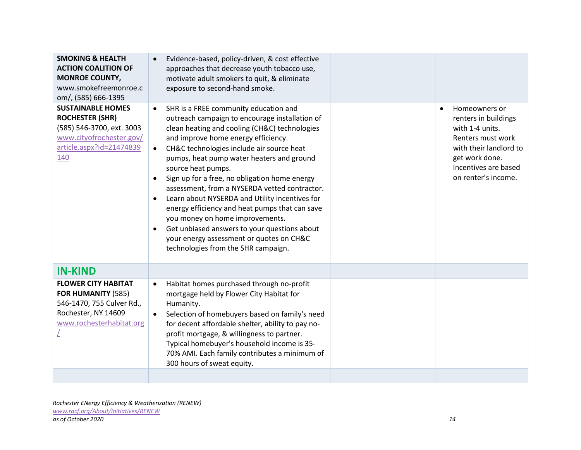| <b>SMOKING &amp; HEALTH</b><br><b>ACTION COALITION OF</b><br><b>MONROE COUNTY,</b><br>www.smokefreemonroe.c<br>om/, (585) 666-1395             | Evidence-based, policy-driven, & cost effective<br>approaches that decrease youth tobacco use,<br>motivate adult smokers to quit, & eliminate<br>exposure to second-hand smoke.                                                                                                                                                                                                                                                                                                                                                                                                                                                                                                                                                 |                                                                                                                                                                                       |
|------------------------------------------------------------------------------------------------------------------------------------------------|---------------------------------------------------------------------------------------------------------------------------------------------------------------------------------------------------------------------------------------------------------------------------------------------------------------------------------------------------------------------------------------------------------------------------------------------------------------------------------------------------------------------------------------------------------------------------------------------------------------------------------------------------------------------------------------------------------------------------------|---------------------------------------------------------------------------------------------------------------------------------------------------------------------------------------|
| <b>SUSTAINABLE HOMES</b><br><b>ROCHESTER (SHR)</b><br>(585) 546-3700, ext. 3003<br>www.cityofrochester.gov/<br>article.aspx?id=21474839<br>140 | SHR is a FREE community education and<br>$\bullet$<br>outreach campaign to encourage installation of<br>clean heating and cooling (CH&C) technologies<br>and improve home energy efficiency.<br>CH&C technologies include air source heat<br>$\bullet$<br>pumps, heat pump water heaters and ground<br>source heat pumps.<br>Sign up for a free, no obligation home energy<br>$\bullet$<br>assessment, from a NYSERDA vetted contractor.<br>Learn about NYSERDA and Utility incentives for<br>energy efficiency and heat pumps that can save<br>you money on home improvements.<br>Get unbiased answers to your questions about<br>$\bullet$<br>your energy assessment or quotes on CH&C<br>technologies from the SHR campaign. | Homeowners or<br>$\bullet$<br>renters in buildings<br>with 1-4 units.<br>Renters must work<br>with their landlord to<br>get work done.<br>Incentives are based<br>on renter's income. |
| <b>IN-KIND</b>                                                                                                                                 |                                                                                                                                                                                                                                                                                                                                                                                                                                                                                                                                                                                                                                                                                                                                 |                                                                                                                                                                                       |
| <b>FLOWER CITY HABITAT</b><br>FOR HUMANITY (585)<br>546-1470, 755 Culver Rd.,<br>Rochester, NY 14609<br>www.rochesterhabitat.org               | Habitat homes purchased through no-profit<br>$\bullet$<br>mortgage held by Flower City Habitat for<br>Humanity.<br>Selection of homebuyers based on family's need<br>$\bullet$<br>for decent affordable shelter, ability to pay no-<br>profit mortgage, & willingness to partner.<br>Typical homebuyer's household income is 35-<br>70% AMI. Each family contributes a minimum of<br>300 hours of sweat equity.                                                                                                                                                                                                                                                                                                                 |                                                                                                                                                                                       |